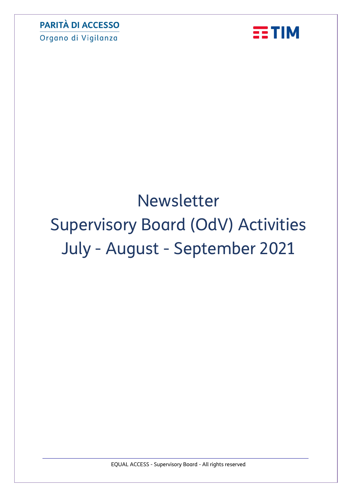Organo di Vigilanza



# Newsletter Supervisory Board (OdV) Activities July - August - September 2021

EQUAL ACCESS - Supervisory Board - All rights reserved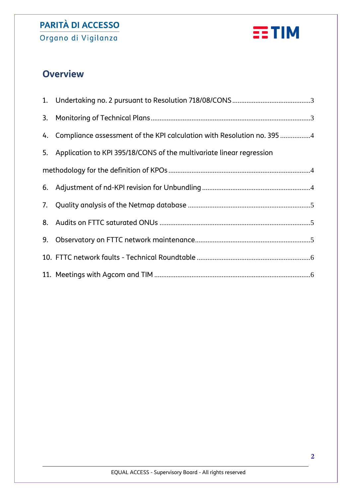Organo di Vigilanza



# **Overview**

|  | 4. Compliance assessment of the KPI calculation with Resolution no. 395 4 |
|--|---------------------------------------------------------------------------|
|  | 5. Application to KPI 395/18/CONS of the multivariate linear regression   |
|  |                                                                           |
|  |                                                                           |
|  |                                                                           |
|  |                                                                           |
|  |                                                                           |
|  |                                                                           |
|  |                                                                           |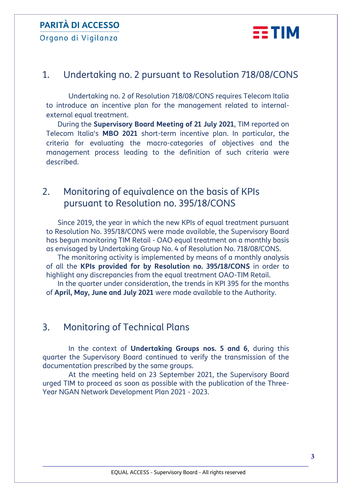Organo di Vigilanza



## <span id="page-2-0"></span>1. Undertaking no. 2 pursuant to Resolution 718/08/CONS

Undertaking no. 2 of Resolution 718/08/CONS requires Telecom Italia to introduce an incentive plan for the management related to internalexternal equal treatment.

During the **Supervisory Board Meeting of 21 July 2021**, TIM reported on Telecom Italia's **MBO 2021** short-term incentive plan. In particular, the criteria for evaluating the macro-categories of objectives and the management process leading to the definition of such criteria were described.

#### 2. Monitoring of equivalence on the basis of KPIs pursuant to Resolution no. 395/18/CONS

Since 2019, the year in which the new KPIs of equal treatment pursuant to Resolution No. 395/18/CONS were made available, the Supervisory Board has begun monitoring TIM Retail - OAO equal treatment on a monthly basis as envisaged by Undertaking Group No. 4 of Resolution No. 718/08/CONS.

The monitoring activity is implemented by means of a monthly analysis of all the **KPIs provided for by Resolution no. 395/18/CONS** in order to highlight any discrepancies from the equal treatment OAO-TIM Retail.

In the quarter under consideration, the trends in KPI 395 for the months of **April, May, June and July 2021** were made available to the Authority.

## <span id="page-2-1"></span>3. Monitoring of Technical Plans

In the context of **Undertaking Groups nos. 5 and 6**, during this quarter the Supervisory Board continued to verify the transmission of the documentation prescribed by the same groups.

At the meeting held on 23 September 2021, the Supervisory Board urged TIM to proceed as soon as possible with the publication of the Three-Year NGAN Network Development Plan 2021 - 2023.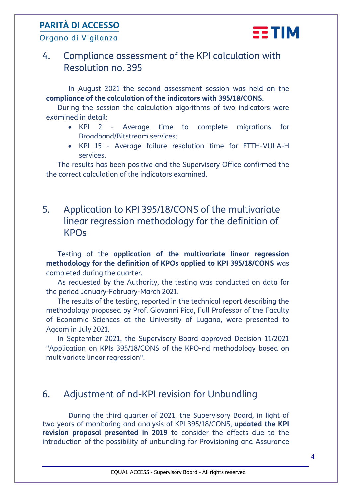Organo di Vigilanza



## <span id="page-3-0"></span>4. Compliance assessment of the KPI calculation with Resolution no. 395

In August 2021 the second assessment session was held on the **compliance of the calculation of the indicators with 395/18/CONS.**

During the session the calculation algorithms of two indicators were examined in detail:

- KPI 2 Average time to complete migrations for Broadband/Bitstream services;
- KPI 15 Average failure resolution time for FTTH-VULA-H services.

The results has been positive and the Supervisory Office confirmed the the correct calculation of the indicators examined.

## <span id="page-3-1"></span>5. Application to KPI 395/18/CONS of the multivariate linear regression methodology for the definition of KPOs

Testing of the **application of the multivariate linear regression methodology for the definition of KPOs applied to KPI 395/18/CONS** was completed during the quarter.

As requested by the Authority, the testing was conducted on data for the period January-February-March 2021.

The results of the testing, reported in the technical report describing the methodology proposed by Prof. Giovanni Pica, Full Professor of the Faculty of Economic Sciences at the University of Lugano, were presented to Agcom in July 2021.

In September 2021, the Supervisory Board approved Decision 11/2021 "Application on KPIs 395/18/CONS of the KPO-nd methodology based on multivariate linear regression".

## <span id="page-3-2"></span>6. Adjustment of nd-KPI revision for Unbundling

During the third quarter of 2021, the Supervisory Board, in light of two years of monitoring and analysis of KPI 395/18/CONS, **updated the KPI revision proposal presented in 2019** to consider the effects due to the introduction of the possibility of unbundling for Provisioning and Assurance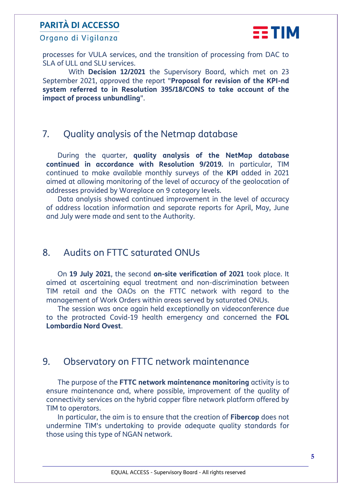Organo di Vigilanza



processes for VULA services, and the transition of processing from DAC to SLA of ULL and SLU services.

With **Decision 12/2021** the Supervisory Board, which met on 23 September 2021, approved the report "**Proposal for revision of the KPI-nd system referred to in Resolution 395/18/CONS to take account of the impact of process unbundling**".

#### <span id="page-4-0"></span>7. Quality analysis of the Netmap database

During the quarter, **quality analysis of the NetMap database continued in accordance with Resolution 9/2019.** In particular, TIM continued to make available monthly surveys of the **KPI** added in 2021 aimed at allowing monitoring of the level of accuracy of the geolocation of addresses provided by Wareplace on 9 category levels.

Data analysis showed continued improvement in the level of accuracy of address location information and separate reports for April, May, June and July were made and sent to the Authority.

#### <span id="page-4-1"></span>8. Audits on FTTC saturated ONUs

On **19 July 2021**, the second **on-site verification of 2021** took place. It aimed at ascertaining equal treatment and non-discrimination between TIM retail and the OAOs on the FTTC network with regard to the management of Work Orders within areas served by saturated ONUs.

The session was once again held exceptionally on videoconference due to the protracted Covid-19 health emergency and concerned the **FOL Lombardia Nord Ovest**.

#### <span id="page-4-2"></span>9. Observatory on FTTC network maintenance

The purpose of the **FTTC network maintenance monitoring** activity is to ensure maintenance and, where possible, improvement of the quality of connectivity services on the hybrid copper fibre network platform offered by TIM to operators.

In particular, the aim is to ensure that the creation of **Fibercop** does not undermine TIM's undertaking to provide adequate quality standards for those using this type of NGAN network.